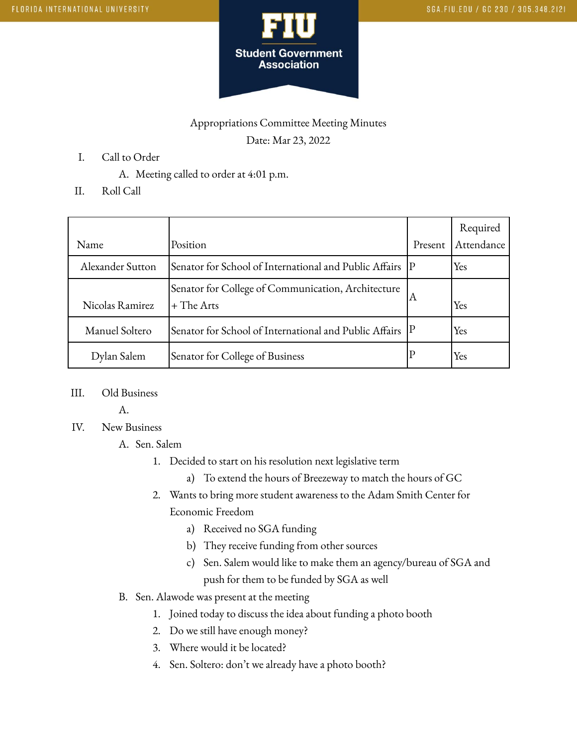

## Appropriations Committee Meeting Minutes

Date: Mar 23, 2022

- I. Call to Order
	- A. Meeting called to order at 4:01 p.m.
- II. Roll Call

|                  |                                                                    |         | Required   |
|------------------|--------------------------------------------------------------------|---------|------------|
| Name             | Position                                                           | Present | Attendance |
| Alexander Sutton | Senator for School of International and Public Affairs  P          |         | Yes        |
| Nicolas Ramirez  | Senator for College of Communication, Architecture<br>$+$ The Arts | А       | Yes        |
| Manuel Soltero   | Senator for School of International and Public Affairs  P          |         | Yes        |
| Dylan Salem      | Senator for College of Business                                    |         | Yes        |

III. Old Business

A.

IV. New Business

## A. Sen. Salem

- 1. Decided to start on his resolution next legislative term
	- a) To extend the hours of Breezeway to match the hours of GC
- 2. Wants to bring more student awareness to the Adam Smith Center for Economic Freedom
	- a) Received no SGA funding
	- b) They receive funding from other sources
	- c) Sen. Salem would like to make them an agency/bureau of SGA and push for them to be funded by SGA as well

## B. Sen. Alawode was present at the meeting

- 1. Joined today to discuss the idea about funding a photo booth
- 2. Do we still have enough money?
- 3. Where would it be located?
- 4. Sen. Soltero: don't we already have a photo booth?